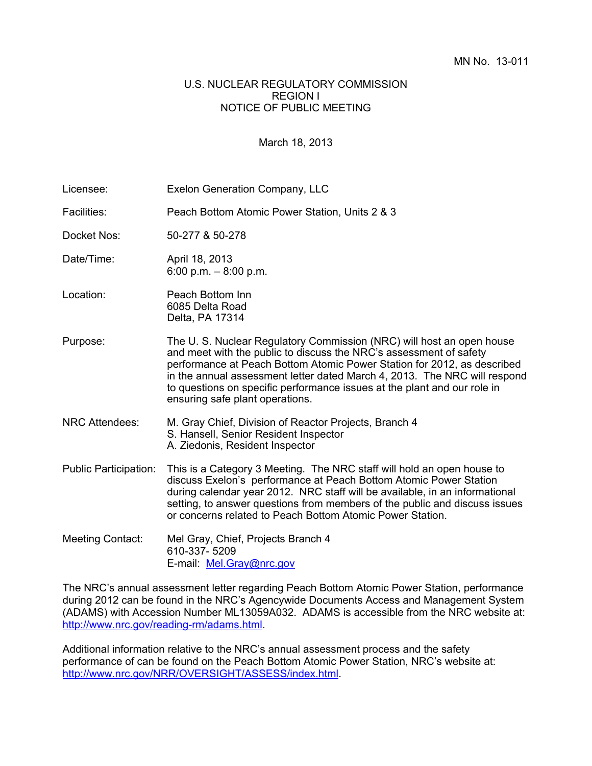## U.S. NUCLEAR REGULATORY COMMISSION REGION I NOTICE OF PUBLIC MEETING

## March 18, 2013

| Licensee:                    | <b>Exelon Generation Company, LLC</b>                                                                                                                                                                                                                                                                                                                                                                             |
|------------------------------|-------------------------------------------------------------------------------------------------------------------------------------------------------------------------------------------------------------------------------------------------------------------------------------------------------------------------------------------------------------------------------------------------------------------|
| Facilities:                  | Peach Bottom Atomic Power Station, Units 2 & 3                                                                                                                                                                                                                                                                                                                                                                    |
| Docket Nos:                  | 50-277 & 50-278                                                                                                                                                                                                                                                                                                                                                                                                   |
| Date/Time:                   | April 18, 2013<br>6:00 p.m. $-8:00$ p.m.                                                                                                                                                                                                                                                                                                                                                                          |
| Location:                    | Peach Bottom Inn<br>6085 Delta Road<br>Delta, PA 17314                                                                                                                                                                                                                                                                                                                                                            |
| Purpose:                     | The U.S. Nuclear Regulatory Commission (NRC) will host an open house<br>and meet with the public to discuss the NRC's assessment of safety<br>performance at Peach Bottom Atomic Power Station for 2012, as described<br>in the annual assessment letter dated March 4, 2013. The NRC will respond<br>to questions on specific performance issues at the plant and our role in<br>ensuring safe plant operations. |
| <b>NRC Attendees:</b>        | M. Gray Chief, Division of Reactor Projects, Branch 4<br>S. Hansell, Senior Resident Inspector<br>A. Ziedonis, Resident Inspector                                                                                                                                                                                                                                                                                 |
| <b>Public Participation:</b> | This is a Category 3 Meeting. The NRC staff will hold an open house to<br>discuss Exelon's performance at Peach Bottom Atomic Power Station<br>during calendar year 2012. NRC staff will be available, in an informational<br>setting, to answer questions from members of the public and discuss issues<br>or concerns related to Peach Bottom Atomic Power Station.                                             |
| <b>Meeting Contact:</b>      | Mel Gray, Chief, Projects Branch 4<br>610-337-5209<br>E-mail: Mel.Gray@nrc.gov                                                                                                                                                                                                                                                                                                                                    |

The NRC's annual assessment letter regarding Peach Bottom Atomic Power Station, performance during 2012 can be found in the NRC's Agencywide Documents Access and Management System (ADAMS) with Accession Number ML13059A032. ADAMS is accessible from the NRC website at: http://www.nrc.gov/reading-rm/adams.html.

Additional information relative to the NRC's annual assessment process and the safety performance of can be found on the Peach Bottom Atomic Power Station, NRC's website at: http://www.nrc.gov/NRR/OVERSIGHT/ASSESS/index.html.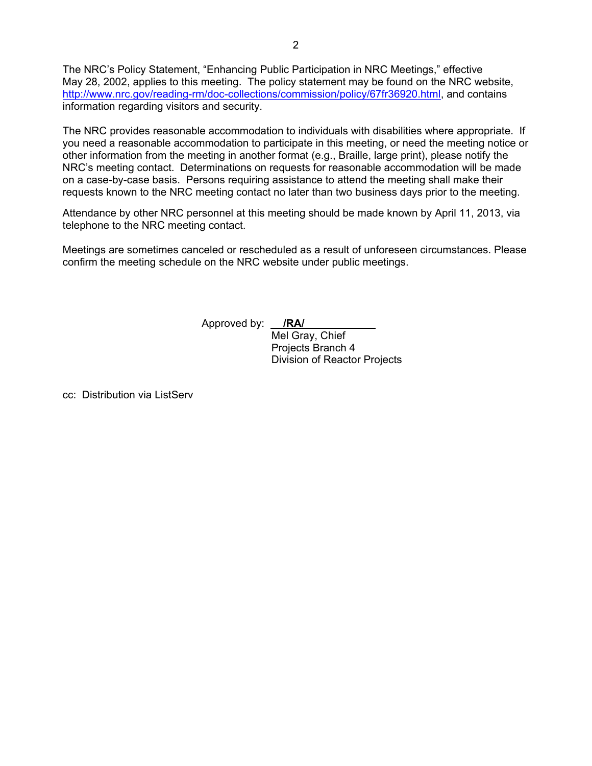The NRC's Policy Statement, "Enhancing Public Participation in NRC Meetings," effective May 28, 2002, applies to this meeting. The policy statement may be found on the NRC website, http://www.nrc.gov/reading-rm/doc-collections/commission/policy/67fr36920.html, and contains information regarding visitors and security.

The NRC provides reasonable accommodation to individuals with disabilities where appropriate. If you need a reasonable accommodation to participate in this meeting, or need the meeting notice or other information from the meeting in another format (e.g., Braille, large print), please notify the NRC's meeting contact. Determinations on requests for reasonable accommodation will be made on a case-by-case basis. Persons requiring assistance to attend the meeting shall make their requests known to the NRC meeting contact no later than two business days prior to the meeting.

Attendance by other NRC personnel at this meeting should be made known by April 11, 2013, via telephone to the NRC meeting contact.

Meetings are sometimes canceled or rescheduled as a result of unforeseen circumstances. Please confirm the meeting schedule on the NRC website under public meetings.

Approved by: **/RA/** 

 Mel Gray, Chief Projects Branch 4 Division of Reactor Projects

cc: Distribution via ListServ